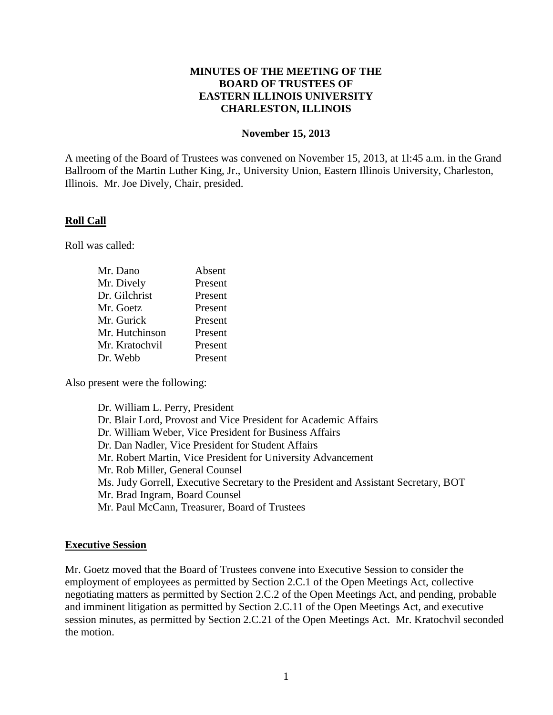# **MINUTES OF THE MEETING OF THE BOARD OF TRUSTEES OF EASTERN ILLINOIS UNIVERSITY CHARLESTON, ILLINOIS**

### **November 15, 2013**

A meeting of the Board of Trustees was convened on November 15, 2013, at 1l:45 a.m. in the Grand Ballroom of the Martin Luther King, Jr., University Union, Eastern Illinois University, Charleston, Illinois. Mr. Joe Dively, Chair, presided.

# **Roll Call**

Roll was called:

| Mr. Dano       | Absent  |
|----------------|---------|
| Mr. Dively     | Present |
| Dr. Gilchrist  | Present |
| Mr. Goetz      | Present |
| Mr. Gurick     | Present |
| Mr. Hutchinson | Present |
| Mr. Kratochvil | Present |
| Dr. Webb       | Present |

Also present were the following:

Dr. William L. Perry, President Dr. Blair Lord, Provost and Vice President for Academic Affairs Dr. William Weber, Vice President for Business Affairs Dr. Dan Nadler, Vice President for Student Affairs Mr. Robert Martin, Vice President for University Advancement Mr. Rob Miller, General Counsel Ms. Judy Gorrell, Executive Secretary to the President and Assistant Secretary, BOT Mr. Brad Ingram, Board Counsel Mr. Paul McCann, Treasurer, Board of Trustees

# **Executive Session**

Mr. Goetz moved that the Board of Trustees convene into Executive Session to consider the employment of employees as permitted by Section 2.C.1 of the Open Meetings Act, collective negotiating matters as permitted by Section 2.C.2 of the Open Meetings Act, and pending, probable and imminent litigation as permitted by Section 2.C.11 of the Open Meetings Act, and executive session minutes, as permitted by Section 2.C.21 of the Open Meetings Act. Mr. Kratochvil seconded the motion.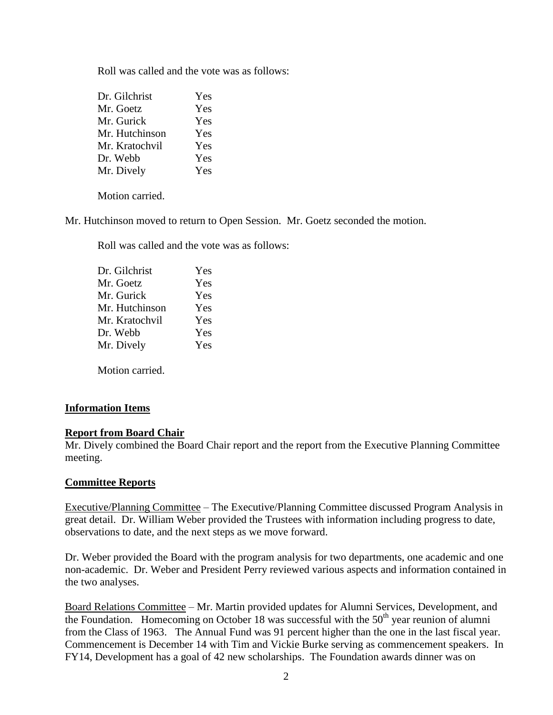Roll was called and the vote was as follows:

| Yes |
|-----|
| Yes |
| Yes |
| Yes |
| Yes |
| Yes |
| Yes |
|     |

Motion carried.

Mr. Hutchinson moved to return to Open Session. Mr. Goetz seconded the motion.

Roll was called and the vote was as follows:

| Dr. Gilchrist  | Yes |
|----------------|-----|
| Mr. Goetz      | Yes |
| Mr. Gurick     | Yes |
| Mr. Hutchinson | Yes |
| Mr. Kratochvil | Yes |
| Dr. Webb       | Yes |
| Mr. Dively     | Yes |
|                |     |

Motion carried.

# **Information Items**

# **Report from Board Chair**

Mr. Dively combined the Board Chair report and the report from the Executive Planning Committee meeting.

# **Committee Reports**

Executive/Planning Committee – The Executive/Planning Committee discussed Program Analysis in great detail. Dr. William Weber provided the Trustees with information including progress to date, observations to date, and the next steps as we move forward.

Dr. Weber provided the Board with the program analysis for two departments, one academic and one non-academic. Dr. Weber and President Perry reviewed various aspects and information contained in the two analyses.

Board Relations Committee – Mr. Martin provided updates for Alumni Services, Development, and the Foundation. Homecoming on October 18 was successful with the  $50<sup>th</sup>$  year reunion of alumni from the Class of 1963. The Annual Fund was 91 percent higher than the one in the last fiscal year. Commencement is December 14 with Tim and Vickie Burke serving as commencement speakers. In FY14, Development has a goal of 42 new scholarships. The Foundation awards dinner was on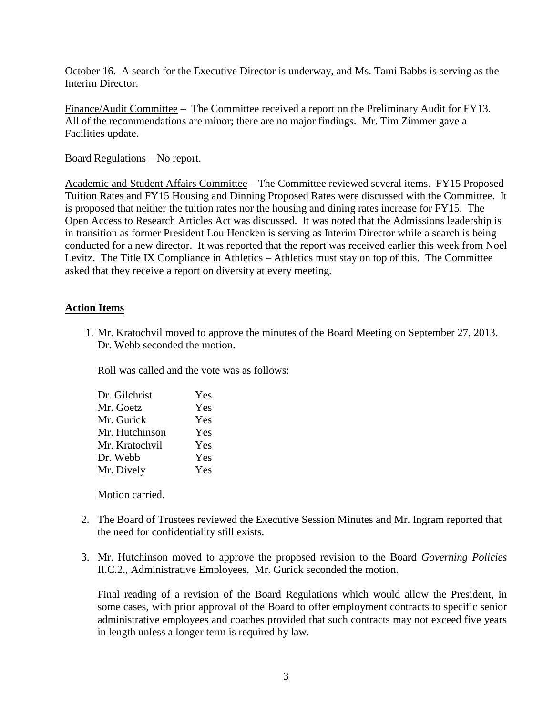October 16. A search for the Executive Director is underway, and Ms. Tami Babbs is serving as the Interim Director.

Finance/Audit Committee – The Committee received a report on the Preliminary Audit for FY13. All of the recommendations are minor; there are no major findings. Mr. Tim Zimmer gave a Facilities update.

Board Regulations – No report.

Academic and Student Affairs Committee – The Committee reviewed several items. FY15 Proposed Tuition Rates and FY15 Housing and Dinning Proposed Rates were discussed with the Committee. It is proposed that neither the tuition rates nor the housing and dining rates increase for FY15. The Open Access to Research Articles Act was discussed. It was noted that the Admissions leadership is in transition as former President Lou Hencken is serving as Interim Director while a search is being conducted for a new director. It was reported that the report was received earlier this week from Noel Levitz. The Title IX Compliance in Athletics – Athletics must stay on top of this. The Committee asked that they receive a report on diversity at every meeting.

# **Action Items**

1. Mr. Kratochvil moved to approve the minutes of the Board Meeting on September 27, 2013. Dr. Webb seconded the motion.

Roll was called and the vote was as follows:

| Dr. Gilchrist  | Yes |
|----------------|-----|
| Mr. Goetz      | Yes |
| Mr. Gurick     | Yes |
| Mr. Hutchinson | Yes |
| Mr. Kratochvil | Yes |
| Dr. Webb       | Yes |
| Mr. Dively     | Yes |
|                |     |

Motion carried.

- 2. The Board of Trustees reviewed the Executive Session Minutes and Mr. Ingram reported that the need for confidentiality still exists.
- 3. Mr. Hutchinson moved to approve the proposed revision to the Board *Governing Policies* II.C.2., Administrative Employees. Mr. Gurick seconded the motion.

Final reading of a revision of the Board Regulations which would allow the President, in some cases, with prior approval of the Board to offer employment contracts to specific senior administrative employees and coaches provided that such contracts may not exceed five years in length unless a longer term is required by law.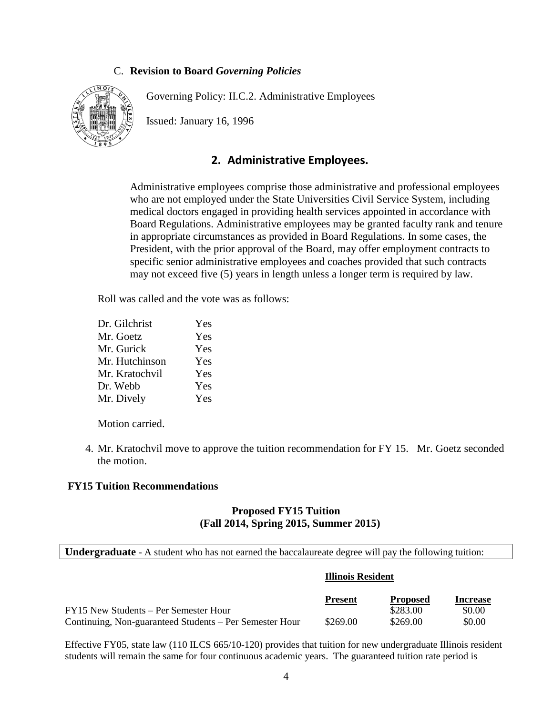# C. **Revision to Board** *Governing Policies*

Governing Policy: II.C.2. Administrative Employees



Issued: January 16, 1996

# **2. Administrative Employees.**

Administrative employees comprise those administrative and professional employees who are not employed under the State Universities Civil Service System, including medical doctors engaged in providing health services appointed in accordance with Board Regulations. Administrative employees may be granted faculty rank and tenure in appropriate circumstances as provided in Board Regulations. In some cases, the President, with the prior approval of the Board, may offer employment contracts to specific senior administrative employees and coaches provided that such contracts may not exceed five (5) years in length unless a longer term is required by law.

Roll was called and the vote was as follows:

| Dr. Gilchrist  | Yes |
|----------------|-----|
| Mr. Goetz      | Yes |
| Mr. Gurick     | Yes |
| Mr. Hutchinson | Yes |
| Mr. Kratochvil | Yes |
| Dr. Webb       | Yes |
| Mr. Dively     | Yes |

Motion carried.

4. Mr. Kratochvil move to approve the tuition recommendation for FY 15. Mr. Goetz seconded the motion.

#### **FY15 Tuition Recommendations**

# **Proposed FY15 Tuition (Fall 2014, Spring 2015, Summer 2015)**

**Undergraduate** - A student who has not earned the baccalaureate degree will pay the following tuition:

#### **Illinois Resident**

|                                                         | <b>Present</b> | <b>Proposed</b> | <b>Increase</b> |
|---------------------------------------------------------|----------------|-----------------|-----------------|
| FY15 New Students – Per Semester Hour                   |                | \$283.00        | \$0.00          |
| Continuing, Non-guaranteed Students – Per Semester Hour | \$269.00       | \$269.00        | \$0.00          |

Effective FY05, state law (110 ILCS 665/10-120) provides that tuition for new undergraduate Illinois resident students will remain the same for four continuous academic years. The guaranteed tuition rate period is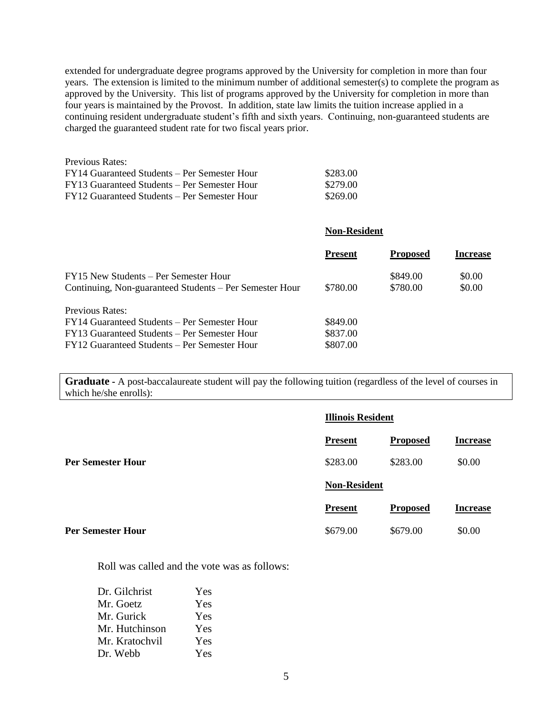extended for undergraduate degree programs approved by the University for completion in more than four years. The extension is limited to the minimum number of additional semester(s) to complete the program as approved by the University. This list of programs approved by the University for completion in more than four years is maintained by the Provost. In addition, state law limits the tuition increase applied in a continuing resident undergraduate student's fifth and sixth years. Continuing, non-guaranteed students are charged the guaranteed student rate for two fiscal years prior.

| Previous Rates:                              |          |
|----------------------------------------------|----------|
| FY14 Guaranteed Students – Per Semester Hour | \$283.00 |
| FY13 Guaranteed Students – Per Semester Hour | \$279.00 |
| FY12 Guaranteed Students – Per Semester Hour | \$269.00 |

| <b>Non-Resident</b> |                 |                 |  |
|---------------------|-----------------|-----------------|--|
| <b>Present</b>      | <b>Proposed</b> | <b>Increase</b> |  |
|                     | \$849.00        | \$0.00          |  |
| \$780.00            | \$780.00        | \$0.00          |  |
|                     |                 |                 |  |
| \$849.00            |                 |                 |  |
| \$837.00            |                 |                 |  |
| \$807.00            |                 |                 |  |
|                     |                 |                 |  |

**Graduate -** A post-baccalaureate student will pay the following tuition (regardless of the level of courses in which he/she enrolls):

|                          |                     | <b>Illinois Resident</b> |                 |  |
|--------------------------|---------------------|--------------------------|-----------------|--|
|                          | <b>Present</b>      | <b>Proposed</b>          | <b>Increase</b> |  |
| <b>Per Semester Hour</b> | \$283.00            | \$283.00                 | \$0.00          |  |
|                          | <b>Non-Resident</b> |                          |                 |  |
|                          | <b>Present</b>      | <b>Proposed</b>          | <b>Increase</b> |  |
| <b>Per Semester Hour</b> | \$679.00            | \$679.00                 | \$0.00          |  |

Roll was called and the vote was as follows:

| Yes |
|-----|
| Yes |
| Yes |
| Yes |
| Yes |
| Yes |
|     |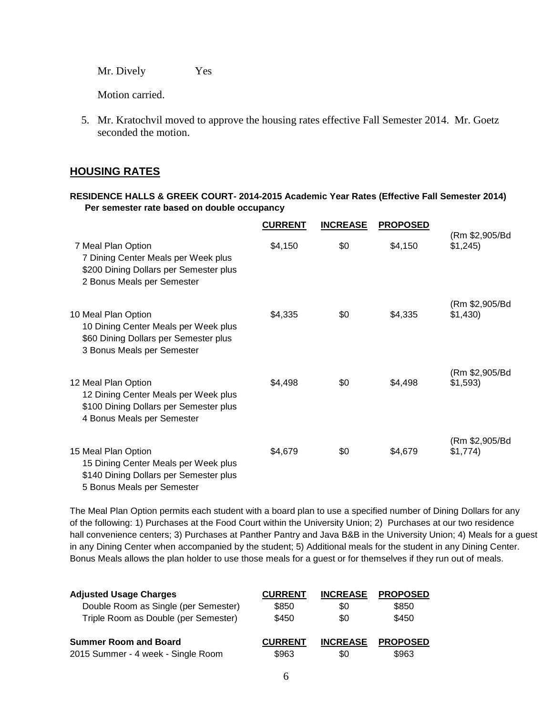Mr. Dively Yes

Motion carried.

5. Mr. Kratochvil moved to approve the housing rates effective Fall Semester 2014. Mr. Goetz seconded the motion.

# **HOUSING RATES**

#### **RESIDENCE HALLS & GREEK COURT- 2014-2015 Academic Year Rates (Effective Fall Semester 2014) Per semester rate based on double occupancy**

|                                                                                                                                     | <b>CURRENT</b> | <b>INCREASE</b> | <b>PROPOSED</b> |                            |
|-------------------------------------------------------------------------------------------------------------------------------------|----------------|-----------------|-----------------|----------------------------|
| 7 Meal Plan Option<br>7 Dining Center Meals per Week plus<br>\$200 Dining Dollars per Semester plus<br>2 Bonus Meals per Semester   | \$4,150        | \$0             | \$4,150         | (Rm \$2,905/Bd<br>\$1,245  |
| 10 Meal Plan Option<br>10 Dining Center Meals per Week plus<br>\$60 Dining Dollars per Semester plus<br>3 Bonus Meals per Semester  | \$4,335        | \$0             | \$4,335         | (Rm \$2,905/Bd<br>\$1,430  |
| 12 Meal Plan Option<br>12 Dining Center Meals per Week plus<br>\$100 Dining Dollars per Semester plus<br>4 Bonus Meals per Semester | \$4,498        | \$0             | \$4,498         | (Rm \$2,905/Bd<br>\$1,593  |
| 15 Meal Plan Option<br>15 Dining Center Meals per Week plus<br>\$140 Dining Dollars per Semester plus<br>5 Bonus Meals per Semester | \$4,679        | \$0             | \$4,679         | (Rm \$2,905/Bd<br>\$1,774) |

The Meal Plan Option permits each student with a board plan to use a specified number of Dining Dollars for any of the following: 1) Purchases at the Food Court within the University Union; 2) Purchases at our two residence hall convenience centers; 3) Purchases at Panther Pantry and Java B&B in the University Union; 4) Meals for a guest in any Dining Center when accompanied by the student; 5) Additional meals for the student in any Dining Center. Bonus Meals allows the plan holder to use those meals for a guest or for themselves if they run out of meals.

| <b>Adjusted Usage Charges</b>        | <b>CURRENT</b> | <b>INCREASE</b> | <b>PROPOSED</b> |
|--------------------------------------|----------------|-----------------|-----------------|
| Double Room as Single (per Semester) | \$850          | \$0             | \$850           |
| Triple Room as Double (per Semester) | \$450          | \$0             | \$450           |
| <b>Summer Room and Board</b>         | <b>CURRENT</b> | <b>INCREASE</b> | <b>PROPOSED</b> |
| 2015 Summer - 4 week - Single Room   | \$963          | \$0             | \$963           |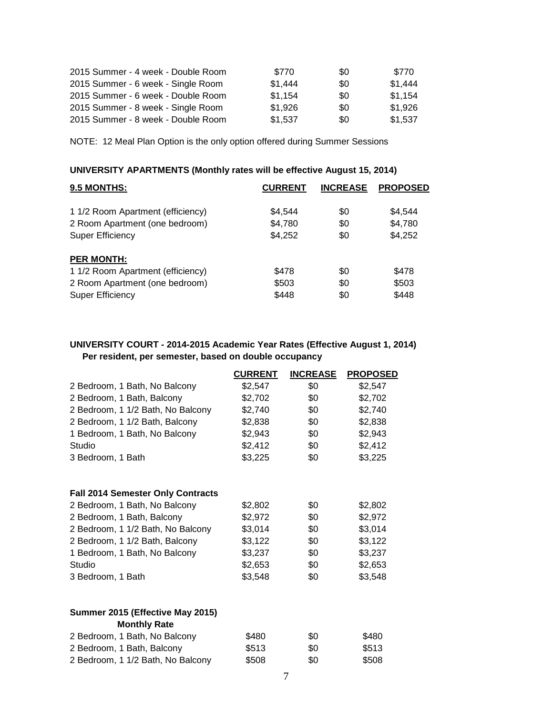| 2015 Summer - 4 week - Double Room | \$770   | \$0 | \$770   |
|------------------------------------|---------|-----|---------|
| 2015 Summer - 6 week - Single Room | \$1,444 | \$0 | \$1.444 |
| 2015 Summer - 6 week - Double Room | \$1.154 | \$0 | \$1.154 |
| 2015 Summer - 8 week - Single Room | \$1,926 | \$0 | \$1,926 |
| 2015 Summer - 8 week - Double Room | \$1,537 | \$0 | \$1,537 |

NOTE: 12 Meal Plan Option is the only option offered during Summer Sessions

# **UNIVERSITY APARTMENTS (Monthly rates will be effective August 15, 2014)**

| 9.5 MONTHS:                       | <b>CURRENT</b> | <b>INCREASE</b> | <b>PROPOSED</b> |
|-----------------------------------|----------------|-----------------|-----------------|
| 1 1/2 Room Apartment (efficiency) | \$4,544        | \$0             | \$4,544         |
| 2 Room Apartment (one bedroom)    | \$4,780        | \$0             | \$4,780         |
| <b>Super Efficiency</b>           | \$4,252        | \$0             | \$4,252         |
| <b>PER MONTH:</b>                 |                |                 |                 |
| 1 1/2 Room Apartment (efficiency) | \$478          | \$0             | \$478           |
| 2 Room Apartment (one bedroom)    | \$503          | \$0             | \$503           |
| <b>Super Efficiency</b>           | \$448          | \$0             | \$448           |

#### **UNIVERSITY COURT - 2014-2015 Academic Year Rates (Effective August 1, 2014) Per resident, per semester, based on double occupancy**

|                                          | <b>CURRENT</b> | <b>INCREASE</b> | <b>PROPOSED</b> |
|------------------------------------------|----------------|-----------------|-----------------|
| 2 Bedroom, 1 Bath, No Balcony            | \$2,547        | \$0             | \$2,547         |
| 2 Bedroom, 1 Bath, Balcony               | \$2,702        | \$0             | \$2,702         |
| 2 Bedroom, 1 1/2 Bath, No Balcony        | \$2,740        | \$0             | \$2,740         |
| 2 Bedroom, 1 1/2 Bath, Balcony           | \$2,838        | \$0             | \$2,838         |
| 1 Bedroom, 1 Bath, No Balcony            | \$2,943        | \$0             | \$2,943         |
| Studio                                   | \$2,412        | \$0             | \$2,412         |
| 3 Bedroom, 1 Bath                        | \$3,225        | \$0             | \$3,225         |
| <b>Fall 2014 Semester Only Contracts</b> |                |                 |                 |
| 2 Bedroom, 1 Bath, No Balcony            | \$2,802        | \$0             | \$2,802         |
| 2 Bedroom, 1 Bath, Balcony               | \$2,972        | \$0             | \$2,972         |
| 2 Bedroom, 1 1/2 Bath, No Balcony        | \$3,014        | \$0             | \$3,014         |
| 2 Bedroom, 1 1/2 Bath, Balcony           | \$3,122        | \$0             | \$3,122         |
| 1 Bedroom, 1 Bath, No Balcony            | \$3,237        | \$0             | \$3,237         |
| Studio                                   | \$2,653        | \$0             | \$2,653         |
| 3 Bedroom, 1 Bath                        | \$3,548        | \$0             | \$3,548         |
| Summer 2015 (Effective May 2015)         |                |                 |                 |
| <b>Monthly Rate</b>                      |                |                 |                 |
| 2 Bedroom, 1 Bath, No Balcony            | \$480          | \$0             | \$480           |
| 2 Bedroom, 1 Bath, Balcony               | \$513          | \$0             | \$513           |
| 2 Bedroom, 1 1/2 Bath, No Balcony        | \$508          | \$0             | \$508           |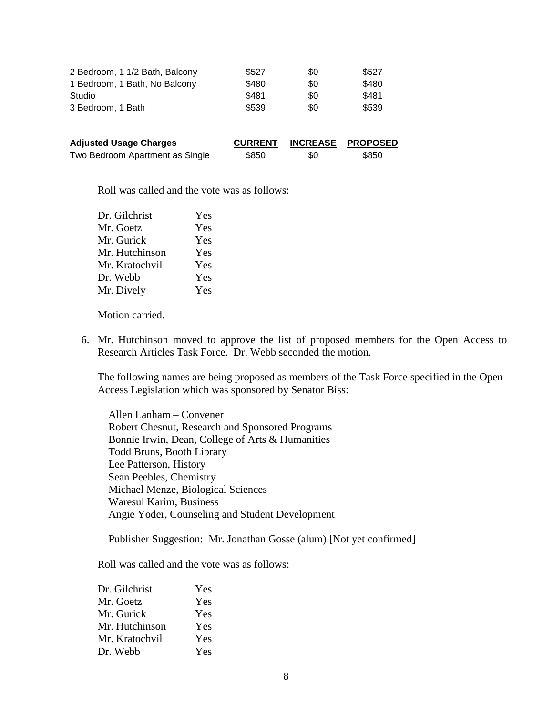| 2 Bedroom, 1 1/2 Bath, Balcony | \$527 | \$0 | \$527 |
|--------------------------------|-------|-----|-------|
| 1 Bedroom, 1 Bath, No Balcony  | \$480 | \$0 | \$480 |
| Studio                         | \$481 | \$0 | \$481 |
| 3 Bedroom, 1 Bath              | \$539 | \$0 | \$539 |
|                                |       |     |       |

| <b>Adjusted Usage Charges</b>   | <b>CURRENT</b> |     | INCREASE PROPOSED |
|---------------------------------|----------------|-----|-------------------|
| Two Bedroom Apartment as Single | \$850          | \$0 | \$850             |

Roll was called and the vote was as follows:

| Dr. Gilchrist  | Yes |
|----------------|-----|
| Mr. Goetz      | Yes |
| Mr. Gurick     | Yes |
| Mr. Hutchinson | Yes |
| Mr. Kratochvil | Yes |
| Dr. Webb       | Yes |
| Mr. Dively     | Yes |
|                |     |

Motion carried.

6. Mr. Hutchinson moved to approve the list of proposed members for the Open Access to Research Articles Task Force. Dr. Webb seconded the motion.

The following names are being proposed as members of the Task Force specified in the Open Access Legislation which was sponsored by Senator Biss:

Allen Lanham – Convener Robert Chesnut, Research and Sponsored Programs Bonnie Irwin, Dean, College of Arts & Humanities Todd Bruns, Booth Library Lee Patterson, History Sean Peebles, Chemistry Michael Menze, Biological Sciences Waresul Karim, Business Angie Yoder, Counseling and Student Development

Publisher Suggestion: Mr. Jonathan Gosse (alum) [Not yet confirmed]

Roll was called and the vote was as follows:

| Dr. Gilchrist  | Yes |
|----------------|-----|
| Mr. Goetz      | Yes |
| Mr. Gurick     | Yes |
| Mr. Hutchinson | Yes |
| Mr. Kratochvil | Yes |
| Dr. Webb       | Yes |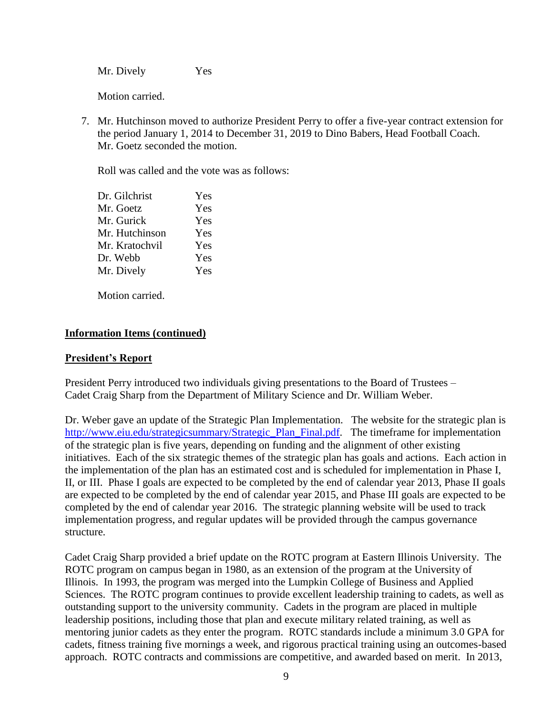Mr. Dively Yes

Motion carried.

7. Mr. Hutchinson moved to authorize President Perry to offer a five-year contract extension for the period January 1, 2014 to December 31, 2019 to Dino Babers, Head Football Coach. Mr. Goetz seconded the motion.

Roll was called and the vote was as follows:

| Dr. Gilchrist  | Yes |
|----------------|-----|
| Mr. Goetz      | Yes |
| Mr. Gurick     | Yes |
| Mr. Hutchinson | Yes |
| Mr. Kratochvil | Yes |
| Dr. Webb       | Yes |
| Mr. Dively     | Yes |
|                |     |

Motion carried.

# **Information Items (continued)**

# **President's Report**

President Perry introduced two individuals giving presentations to the Board of Trustees – Cadet Craig Sharp from the Department of Military Science and Dr. William Weber.

Dr. Weber gave an update of the Strategic Plan Implementation. The website for the strategic plan is [http://www.eiu.edu/strategicsummary/Strategic\\_Plan\\_Final.pdf.](http://www.eiu.edu/strategicsummary/Strategic_Plan_Final.pdf) The timeframe for implementation of the strategic plan is five years, depending on funding and the alignment of other existing initiatives. Each of the six strategic themes of the strategic plan has goals and actions. Each action in the implementation of the plan has an estimated cost and is scheduled for implementation in Phase I, II, or III. Phase I goals are expected to be completed by the end of calendar year 2013, Phase II goals are expected to be completed by the end of calendar year 2015, and Phase III goals are expected to be completed by the end of calendar year 2016. The strategic planning website will be used to track implementation progress, and regular updates will be provided through the campus governance structure.

Cadet Craig Sharp provided a brief update on the ROTC program at Eastern Illinois University. The ROTC program on campus began in 1980, as an extension of the program at the University of Illinois. In 1993, the program was merged into the Lumpkin College of Business and Applied Sciences. The ROTC program continues to provide excellent leadership training to cadets, as well as outstanding support to the university community. Cadets in the program are placed in multiple leadership positions, including those that plan and execute military related training, as well as mentoring junior cadets as they enter the program. ROTC standards include a minimum 3.0 GPA for cadets, fitness training five mornings a week, and rigorous practical training using an outcomes-based approach. ROTC contracts and commissions are competitive, and awarded based on merit. In 2013,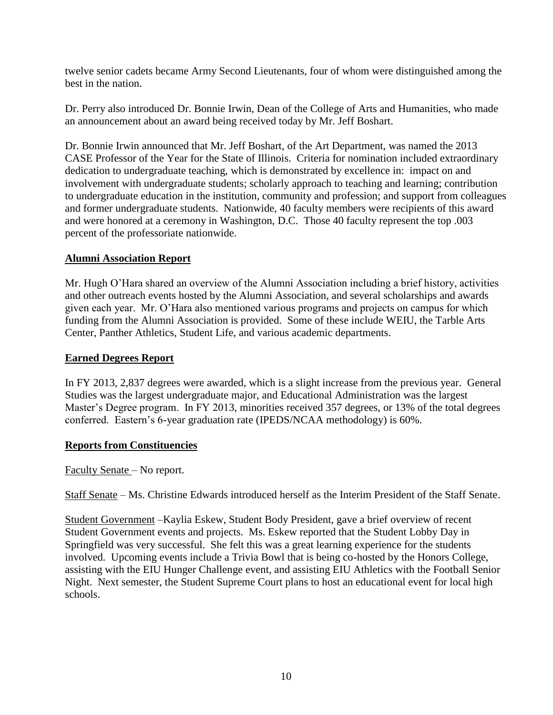twelve senior cadets became Army Second Lieutenants, four of whom were distinguished among the best in the nation.

Dr. Perry also introduced Dr. Bonnie Irwin, Dean of the College of Arts and Humanities, who made an announcement about an award being received today by Mr. Jeff Boshart.

Dr. Bonnie Irwin announced that Mr. Jeff Boshart, of the Art Department, was named the 2013 CASE Professor of the Year for the State of Illinois. Criteria for nomination included extraordinary dedication to undergraduate teaching, which is demonstrated by excellence in: impact on and involvement with undergraduate students; scholarly approach to teaching and learning; contribution to undergraduate education in the institution, community and profession; and support from colleagues and former undergraduate students. Nationwide, 40 faculty members were recipients of this award and were honored at a ceremony in Washington, D.C. Those 40 faculty represent the top .003 percent of the professoriate nationwide.

# **Alumni Association Report**

Mr. Hugh O'Hara shared an overview of the Alumni Association including a brief history, activities and other outreach events hosted by the Alumni Association, and several scholarships and awards given each year. Mr. O'Hara also mentioned various programs and projects on campus for which funding from the Alumni Association is provided. Some of these include WEIU, the Tarble Arts Center, Panther Athletics, Student Life, and various academic departments.

# **Earned Degrees Report**

In FY 2013, 2,837 degrees were awarded, which is a slight increase from the previous year. General Studies was the largest undergraduate major, and Educational Administration was the largest Master's Degree program. In FY 2013, minorities received 357 degrees, or 13% of the total degrees conferred. Eastern's 6-year graduation rate (IPEDS/NCAA methodology) is 60%.

# **Reports from Constituencies**

Faculty Senate – No report.

Staff Senate – Ms. Christine Edwards introduced herself as the Interim President of the Staff Senate.

Student Government –Kaylia Eskew, Student Body President, gave a brief overview of recent Student Government events and projects. Ms. Eskew reported that the Student Lobby Day in Springfield was very successful. She felt this was a great learning experience for the students involved. Upcoming events include a Trivia Bowl that is being co-hosted by the Honors College, assisting with the EIU Hunger Challenge event, and assisting EIU Athletics with the Football Senior Night. Next semester, the Student Supreme Court plans to host an educational event for local high schools.